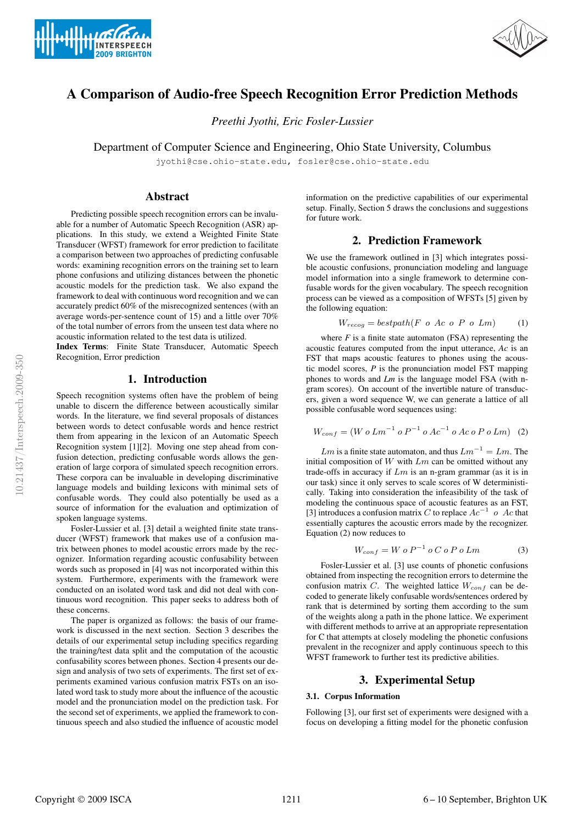



# A Comparison of Audio-free Speech Recognition Error Prediction Methods

*Preethi Jyothi, Eric Fosler-Lussier*

Department of Computer Science and Engineering, Ohio State University, Columbus

jyothi@cse.ohio-state.edu, fosler@cse.ohio-state.edu

### Abstract

Predicting possible speech recognition errors can be invaluable for a number of Automatic Speech Recognition (ASR) applications. In this study, we extend a Weighted Finite State Transducer (WFST) framework for error prediction to facilitate a comparison between two approaches of predicting confusable words: examining recognition errors on the training set to learn phone confusions and utilizing distances between the phonetic acoustic models for the prediction task. We also expand the framework to deal with continuous word recognition and we can accurately predict 60% of the misrecognized sentences (with an average words-per-sentence count of 15) and a little over 70% of the total number of errors from the unseen test data where no acoustic information related to the test data is utilized.

Index Terms: Finite State Transducer, Automatic Speech Recognition, Error prediction

## 1. Introduction

Speech recognition systems often have the problem of being unable to discern the difference between acoustically similar words. In the literature, we find several proposals of distances between words to detect confusable words and hence restrict them from appearing in the lexicon of an Automatic Speech Recognition system [1][2]. Moving one step ahead from confusion detection, predicting confusable words allows the generation of large corpora of simulated speech recognition errors. These corpora can be invaluable in developing discriminative language models and building lexicons with minimal sets of confusable words. They could also potentially be used as a source of information for the evaluation and optimization of spoken language systems.

Fosler-Lussier et al. [3] detail a weighted finite state transducer (WFST) framework that makes use of a confusion matrix between phones to model acoustic errors made by the recognizer. Information regarding acoustic confusability between words such as proposed in [4] was not incorporated within this system. Furthermore, experiments with the framework were conducted on an isolated word task and did not deal with continuous word recognition. This paper seeks to address both of these concerns.

The paper is organized as follows: the basis of our framework is discussed in the next section. Section 3 describes the details of our experimental setup including specifics regarding the training/test data split and the computation of the acoustic confusability scores between phones. Section 4 presents our design and analysis of two sets of experiments. The first set of experiments examined various confusion matrix FSTs on an isolated word task to study more about the influence of the acoustic model and the pronunciation model on the prediction task. For the second set of experiments, we applied the framework to continuous speech and also studied the influence of acoustic model information on the predictive capabilities of our experimental setup. Finally, Section 5 draws the conclusions and suggestions for future work.

# 2. Prediction Framework

We use the framework outlined in [3] which integrates possible acoustic confusions, pronunciation modeling and language model information into a single framework to determine confusable words for the given vocabulary. The speech recognition process can be viewed as a composition of WFSTs [5] given by the following equation:

$$
W_{recog} = bestpath(F \ o \ Ac \ o \ P \ o \ Lm) \tag{1}
$$

where  $F$  is a finite state automaton (FSA) representing the acoustic features computed from the input utterance, *Ac* is an FST that maps acoustic features to phones using the acoustic model scores, *P* is the pronunciation model FST mapping phones to words and *Lm* is the language model FSA (with ngram scores). On account of the invertible nature of transducers, given a word sequence W, we can generate a lattice of all possible confusable word sequences using:

$$
W_{conf} = (W o Lm^{-1} o P^{-1} o Ac^{-1} o Ac o P o Lm) (2)
$$

 $Lm$  is a finite state automaton, and thus  $Lm^{-1} = Lm$ . The initial composition of  $W$  with  $Lm$  can be omitted without any trade-offs in accuracy if  $Lm$  is an n-gram grammar (as it is in our task) since it only serves to scale scores of W deterministically. Taking into consideration the infeasibility of the task of modeling the continuous space of acoustic features as an FST, [3] introduces a confusion matrix C to replace  $Ac^{-1}$  o Ac that essentially captures the acoustic errors made by the recognizer. Equation (2) now reduces to

$$
W_{conf} = W o P^{-1} o C o P o Lm \tag{3}
$$

Fosler-Lussier et al. [3] use counts of phonetic confusions obtained from inspecting the recognition errors to determine the confusion matrix C. The weighted lattice  $W_{\text{conf}}$  can be decoded to generate likely confusable words/sentences ordered by rank that is determined by sorting them according to the sum of the weights along a path in the phone lattice. We experiment with different methods to arrive at an appropriate representation for C that attempts at closely modeling the phonetic confusions prevalent in the recognizer and apply continuous speech to this WFST framework to further test its predictive abilities.

## 3. Experimental Setup

### 3.1. Corpus Information

Following [3], our first set of experiments were designed with a focus on developing a fitting model for the phonetic confusion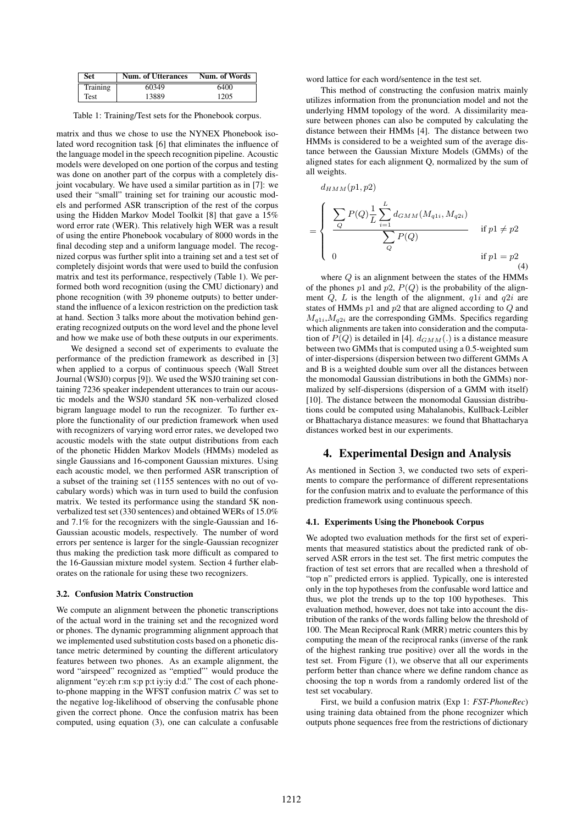| Set      | <b>Num. of Utterances</b> | Num. of Words |  |
|----------|---------------------------|---------------|--|
| Training | 60349                     | 6400          |  |
| Test     | 13889                     | 1205          |  |

Table 1: Training/Test sets for the Phonebook corpus.

matrix and thus we chose to use the NYNEX Phonebook isolated word recognition task [6] that eliminates the influence of the language model in the speech recognition pipeline. Acoustic models were developed on one portion of the corpus and testing was done on another part of the corpus with a completely disjoint vocabulary. We have used a similar partition as in [7]: we used their "small" training set for training our acoustic models and performed ASR transcription of the rest of the corpus using the Hidden Markov Model Toolkit [8] that gave a 15% word error rate (WER). This relatively high WER was a result of using the entire Phonebook vocabulary of 8000 words in the final decoding step and a uniform language model. The recognized corpus was further split into a training set and a test set of completely disjoint words that were used to build the confusion matrix and test its performance, respectively (Table 1). We performed both word recognition (using the CMU dictionary) and phone recognition (with 39 phoneme outputs) to better understand the influence of a lexicon restriction on the prediction task at hand. Section 3 talks more about the motivation behind generating recognized outputs on the word level and the phone level and how we make use of both these outputs in our experiments.

We designed a second set of experiments to evaluate the performance of the prediction framework as described in [3] when applied to a corpus of continuous speech (Wall Street Journal (WSJ0) corpus [9]). We used the WSJ0 training set containing 7236 speaker independent utterances to train our acoustic models and the WSJ0 standard 5K non-verbalized closed bigram language model to run the recognizer. To further explore the functionality of our prediction framework when used with recognizers of varying word error rates, we developed two acoustic models with the state output distributions from each of the phonetic Hidden Markov Models (HMMs) modeled as single Gaussians and 16-component Gaussian mixtures. Using each acoustic model, we then performed ASR transcription of a subset of the training set (1155 sentences with no out of vocabulary words) which was in turn used to build the confusion matrix. We tested its performance using the standard 5K nonverbalized test set (330 sentences) and obtained WERs of 15.0% and 7.1% for the recognizers with the single-Gaussian and 16- Gaussian acoustic models, respectively. The number of word errors per sentence is larger for the single-Gaussian recognizer thus making the prediction task more difficult as compared to the 16-Gaussian mixture model system. Section 4 further elaborates on the rationale for using these two recognizers.

#### 3.2. Confusion Matrix Construction

We compute an alignment between the phonetic transcriptions of the actual word in the training set and the recognized word or phones. The dynamic programming alignment approach that we implemented used substitution costs based on a phonetic distance metric determined by counting the different articulatory features between two phones. As an example alignment, the word "airspeed" recognized as "emptied"' would produce the alignment "ey:eh r:m s:p p:t iy:iy d:d." The cost of each phoneto-phone mapping in the WFST confusion matrix  $C$  was set to the negative log-likelihood of observing the confusable phone given the correct phone. Once the confusion matrix has been computed, using equation (3), one can calculate a confusable word lattice for each word/sentence in the test set.

This method of constructing the confusion matrix mainly utilizes information from the pronunciation model and not the underlying HMM topology of the word. A dissimilarity measure between phones can also be computed by calculating the distance between their HMMs [4]. The distance between two HMMs is considered to be a weighted sum of the average distance between the Gaussian Mixture Models (GMMs) of the aligned states for each alignment Q, normalized by the sum of all weights.

$$
d_{HMM}(p1, p2)
$$
\n
$$
= \begin{cases}\n\sum_{Q} P(Q) \frac{1}{L} \sum_{i=1}^{L} d_{GMM}(M_{q1i}, M_{q2i}) \\
\frac{Q}{Q} \sum_{Q} P(Q) \\
0\n\end{cases}
$$
if  $p1 \neq p2$   
if  $p1 = p2$  (4)

where  $Q$  is an alignment between the states of the HMMs of the phones p1 and p2,  $P(Q)$  is the probability of the alignment  $Q$ ,  $L$  is the length of the alignment,  $q1i$  and  $q2i$  are states of HMMs  $p1$  and  $p2$  that are aligned according to  $Q$  and  $M_{q1i}$ ,  $M_{q2i}$  are the corresponding GMMs. Specifics regarding which alignments are taken into consideration and the computation of  $P(Q)$  is detailed in [4].  $d_{GMM}(.)$  is a distance measure between two GMMs that is computed using a 0.5-weighted sum of inter-dispersions (dispersion between two different GMMs A and B is a weighted double sum over all the distances between the monomodal Gaussian distributions in both the GMMs) normalized by self-dispersions (dispersion of a GMM with itself) [10]. The distance between the monomodal Gaussian distributions could be computed using Mahalanobis, Kullback-Leibler or Bhattacharya distance measures: we found that Bhattacharya distances worked best in our experiments.

#### 4. Experimental Design and Analysis

As mentioned in Section 3, we conducted two sets of experiments to compare the performance of different representations for the confusion matrix and to evaluate the performance of this prediction framework using continuous speech.

#### 4.1. Experiments Using the Phonebook Corpus

We adopted two evaluation methods for the first set of experiments that measured statistics about the predicted rank of observed ASR errors in the test set. The first metric computes the fraction of test set errors that are recalled when a threshold of "top n" predicted errors is applied. Typically, one is interested only in the top hypotheses from the confusable word lattice and thus, we plot the trends up to the top 100 hypotheses. This evaluation method, however, does not take into account the distribution of the ranks of the words falling below the threshold of 100. The Mean Reciprocal Rank (MRR) metric counters this by computing the mean of the reciprocal ranks (inverse of the rank of the highest ranking true positive) over all the words in the test set. From Figure (1), we observe that all our experiments perform better than chance where we define random chance as choosing the top n words from a randomly ordered list of the test set vocabulary.

First, we build a confusion matrix (Exp 1: *FST-PhoneRec*) using training data obtained from the phone recognizer which outputs phone sequences free from the restrictions of dictionary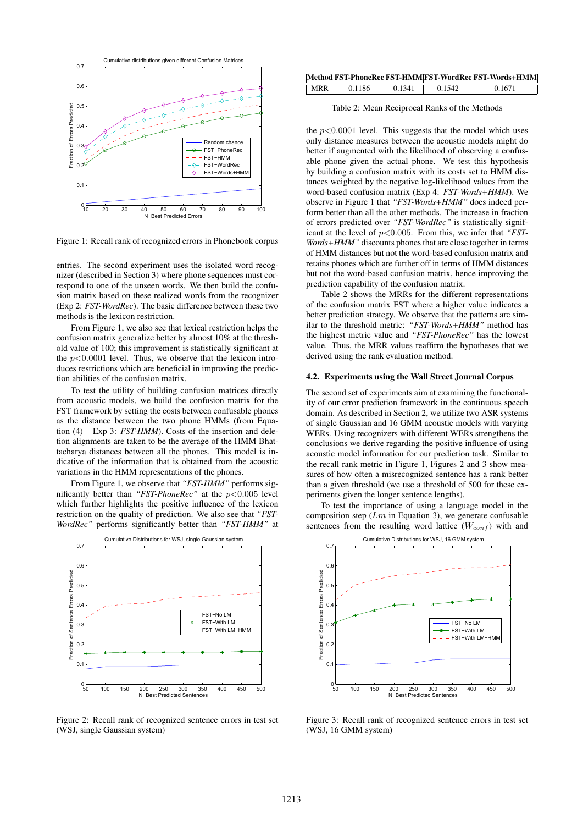

Figure 1: Recall rank of recognized errors in Phonebook corpus

entries. The second experiment uses the isolated word recognizer (described in Section 3) where phone sequences must correspond to one of the unseen words. We then build the confusion matrix based on these realized words from the recognizer (Exp 2: *FST-WordRec*). The basic difference between these two methods is the lexicon restriction.

From Figure 1, we also see that lexical restriction helps the confusion matrix generalize better by almost 10% at the threshold value of 100; this improvement is statistically significant at the  $p<0.0001$  level. Thus, we observe that the lexicon introduces restrictions which are beneficial in improving the prediction abilities of the confusion matrix.

To test the utility of building confusion matrices directly from acoustic models, we build the confusion matrix for the FST framework by setting the costs between confusable phones as the distance between the two phone HMMs (from Equation (4) – Exp 3: *FST-HMM*). Costs of the insertion and deletion alignments are taken to be the average of the HMM Bhattacharya distances between all the phones. This model is indicative of the information that is obtained from the acoustic variations in the HMM representations of the phones.

From Figure 1, we observe that *"FST-HMM"* performs significantly better than *"FST-PhoneRec"* at the p<0.005 level which further highlights the positive influence of the lexicon restriction on the quality of prediction. We also see that *"FST-WordRec"* performs significantly better than *"FST-HMM"* at



Figure 2: Recall rank of recognized sentence errors in test set (WSJ, single Gaussian system)

|            |        |        |        | Method FST-PhoneRec FST-HMM FST-WordRec FST-Words+HMM |
|------------|--------|--------|--------|-------------------------------------------------------|
| $\mid$ MRR | 0.1186 | 0.1341 | 0.1542 | 0.1671                                                |

Table 2: Mean Reciprocal Ranks of the Methods

the  $p<0.0001$  level. This suggests that the model which uses only distance measures between the acoustic models might do better if augmented with the likelihood of observing a confusable phone given the actual phone. We test this hypothesis by building a confusion matrix with its costs set to HMM distances weighted by the negative log-likelihood values from the word-based confusion matrix (Exp 4: *FST-Words+HMM*). We observe in Figure 1 that *"FST-Words+HMM"* does indeed perform better than all the other methods. The increase in fraction of errors predicted over *"FST-WordRec"* is statistically significant at the level of  $p<0.005$ . From this, we infer that *"FST-Words+HMM"* discounts phones that are close together in terms of HMM distances but not the word-based confusion matrix and retains phones which are further off in terms of HMM distances but not the word-based confusion matrix, hence improving the prediction capability of the confusion matrix.

Table 2 shows the MRRs for the different representations of the confusion matrix FST where a higher value indicates a better prediction strategy. We observe that the patterns are similar to the threshold metric: *"FST-Words+HMM"* method has the highest metric value and *"FST-PhoneRec"* has the lowest value. Thus, the MRR values reaffirm the hypotheses that we derived using the rank evaluation method.

#### 4.2. Experiments using the Wall Street Journal Corpus

The second set of experiments aim at examining the functionality of our error prediction framework in the continuous speech domain. As described in Section 2, we utilize two ASR systems of single Gaussian and 16 GMM acoustic models with varying WERs. Using recognizers with different WERs strengthens the conclusions we derive regarding the positive influence of using acoustic model information for our prediction task. Similar to the recall rank metric in Figure 1, Figures 2 and 3 show measures of how often a misrecognized sentence has a rank better than a given threshold (we use a threshold of 500 for these experiments given the longer sentence lengths).

To test the importance of using a language model in the composition step  $(Lm \text{ in Equation 3})$ , we generate confusable sentences from the resulting word lattice  $(W_{conf})$  with and



Figure 3: Recall rank of recognized sentence errors in test set (WSJ, 16 GMM system)